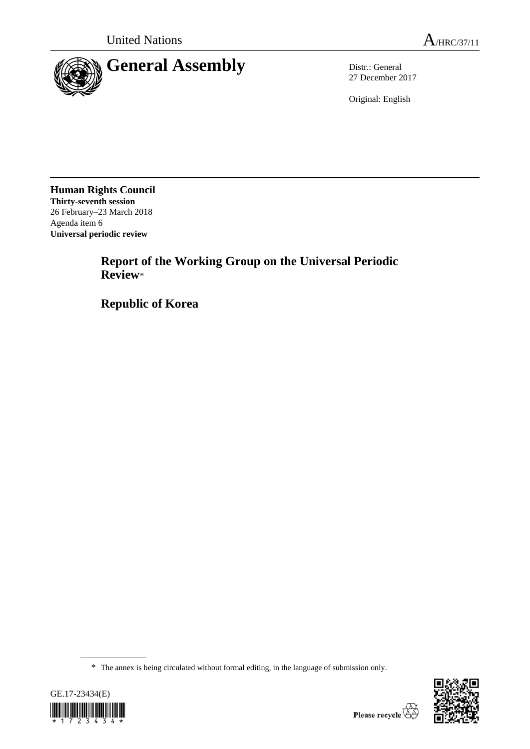

27 December 2017

Original: English

**Human Rights Council Thirty-seventh session** 26 February–23 March 2018 Agenda item 6 **Universal periodic review**

> **Report of the Working Group on the Universal Periodic Review**\*

**Republic of Korea**

<sup>\*</sup> The annex is being circulated without formal editing, in the language of submission only.



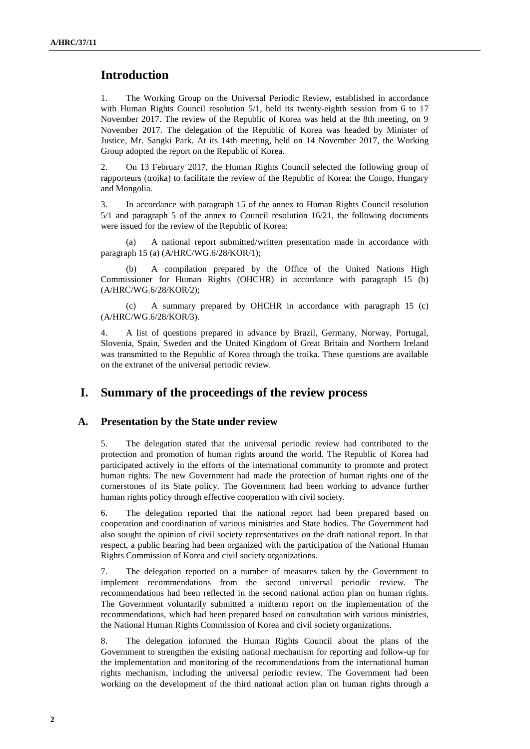# **Introduction**

1. The Working Group on the Universal Periodic Review, established in accordance with Human Rights Council resolution 5/1, held its twenty-eighth session from 6 to 17 November 2017. The review of the Republic of Korea was held at the 8th meeting, on 9 November 2017. The delegation of the Republic of Korea was headed by Minister of Justice, Mr. Sangki Park. At its 14th meeting, held on 14 November 2017, the Working Group adopted the report on the Republic of Korea.

2. On 13 February 2017, the Human Rights Council selected the following group of rapporteurs (troika) to facilitate the review of the Republic of Korea: the Congo, Hungary and Mongolia.

3. In accordance with paragraph 15 of the annex to Human Rights Council resolution 5/1 and paragraph 5 of the annex to Council resolution 16/21, the following documents were issued for the review of the Republic of Korea:

(a) A national report submitted/written presentation made in accordance with paragraph 15 (a) (A/HRC/WG.6/28/KOR/1);

(b) A compilation prepared by the Office of the United Nations High Commissioner for Human Rights (OHCHR) in accordance with paragraph 15 (b) (A/HRC/WG.6/28/KOR/2);

(c) A summary prepared by OHCHR in accordance with paragraph 15 (c) (A/HRC/WG.6/28/KOR/3).

4. A list of questions prepared in advance by Brazil, Germany, Norway, Portugal, Slovenia, Spain, Sweden and the United Kingdom of Great Britain and Northern Ireland was transmitted to the Republic of Korea through the troika. These questions are available on the extranet of the universal periodic review.

## **I. Summary of the proceedings of the review process**

#### **A. Presentation by the State under review**

5. The delegation stated that the universal periodic review had contributed to the protection and promotion of human rights around the world. The Republic of Korea had participated actively in the efforts of the international community to promote and protect human rights. The new Government had made the protection of human rights one of the cornerstones of its State policy. The Government had been working to advance further human rights policy through effective cooperation with civil society.

6. The delegation reported that the national report had been prepared based on cooperation and coordination of various ministries and State bodies. The Government had also sought the opinion of civil society representatives on the draft national report. In that respect, a public hearing had been organized with the participation of the National Human Rights Commission of Korea and civil society organizations.

7. The delegation reported on a number of measures taken by the Government to implement recommendations from the second universal periodic review. The recommendations had been reflected in the second national action plan on human rights. The Government voluntarily submitted a midterm report on the implementation of the recommendations, which had been prepared based on consultation with various ministries, the National Human Rights Commission of Korea and civil society organizations.

8. The delegation informed the Human Rights Council about the plans of the Government to strengthen the existing national mechanism for reporting and follow-up for the implementation and monitoring of the recommendations from the international human rights mechanism, including the universal periodic review. The Government had been working on the development of the third national action plan on human rights through a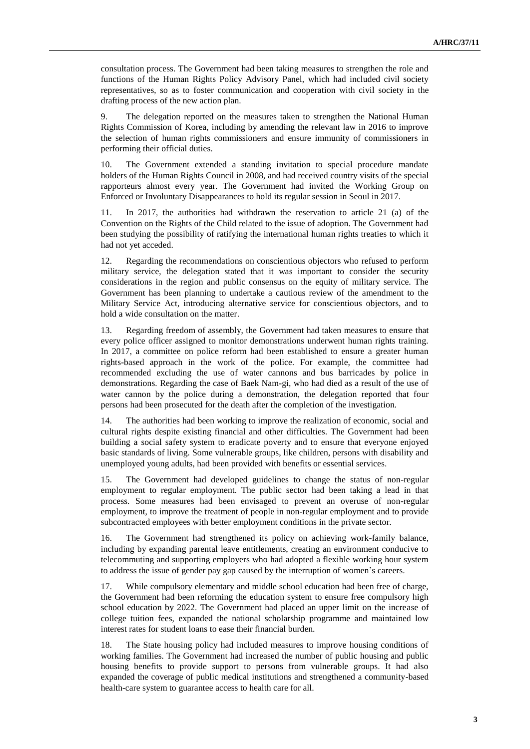consultation process. The Government had been taking measures to strengthen the role and functions of the Human Rights Policy Advisory Panel, which had included civil society representatives, so as to foster communication and cooperation with civil society in the drafting process of the new action plan.

9. The delegation reported on the measures taken to strengthen the National Human Rights Commission of Korea, including by amending the relevant law in 2016 to improve the selection of human rights commissioners and ensure immunity of commissioners in performing their official duties.

10. The Government extended a standing invitation to special procedure mandate holders of the Human Rights Council in 2008, and had received country visits of the special rapporteurs almost every year. The Government had invited the Working Group on Enforced or Involuntary Disappearances to hold its regular session in Seoul in 2017.

11. In 2017, the authorities had withdrawn the reservation to article 21 (a) of the Convention on the Rights of the Child related to the issue of adoption. The Government had been studying the possibility of ratifying the international human rights treaties to which it had not yet acceded.

12. Regarding the recommendations on conscientious objectors who refused to perform military service, the delegation stated that it was important to consider the security considerations in the region and public consensus on the equity of military service. The Government has been planning to undertake a cautious review of the amendment to the Military Service Act, introducing alternative service for conscientious objectors, and to hold a wide consultation on the matter.

13. Regarding freedom of assembly, the Government had taken measures to ensure that every police officer assigned to monitor demonstrations underwent human rights training. In 2017, a committee on police reform had been established to ensure a greater human rights-based approach in the work of the police. For example, the committee had recommended excluding the use of water cannons and bus barricades by police in demonstrations. Regarding the case of Baek Nam-gi, who had died as a result of the use of water cannon by the police during a demonstration, the delegation reported that four persons had been prosecuted for the death after the completion of the investigation.

14. The authorities had been working to improve the realization of economic, social and cultural rights despite existing financial and other difficulties. The Government had been building a social safety system to eradicate poverty and to ensure that everyone enjoyed basic standards of living. Some vulnerable groups, like children, persons with disability and unemployed young adults, had been provided with benefits or essential services.

15. The Government had developed guidelines to change the status of non-regular employment to regular employment. The public sector had been taking a lead in that process. Some measures had been envisaged to prevent an overuse of non-regular employment, to improve the treatment of people in non-regular employment and to provide subcontracted employees with better employment conditions in the private sector.

16. The Government had strengthened its policy on achieving work-family balance, including by expanding parental leave entitlements, creating an environment conducive to telecommuting and supporting employers who had adopted a flexible working hour system to address the issue of gender pay gap caused by the interruption of women's careers.

17. While compulsory elementary and middle school education had been free of charge, the Government had been reforming the education system to ensure free compulsory high school education by 2022. The Government had placed an upper limit on the increase of college tuition fees, expanded the national scholarship programme and maintained low interest rates for student loans to ease their financial burden.

18. The State housing policy had included measures to improve housing conditions of working families. The Government had increased the number of public housing and public housing benefits to provide support to persons from vulnerable groups. It had also expanded the coverage of public medical institutions and strengthened a community-based health-care system to guarantee access to health care for all.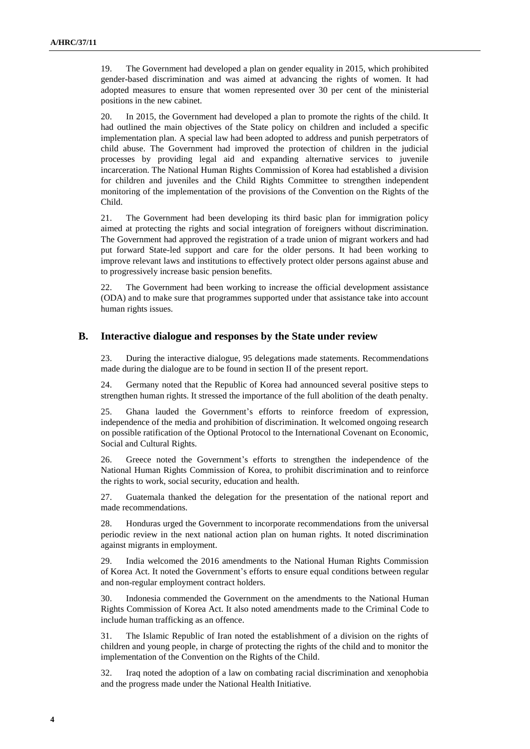19. The Government had developed a plan on gender equality in 2015, which prohibited gender-based discrimination and was aimed at advancing the rights of women. It had adopted measures to ensure that women represented over 30 per cent of the ministerial positions in the new cabinet.

20. In 2015, the Government had developed a plan to promote the rights of the child. It had outlined the main objectives of the State policy on children and included a specific implementation plan. A special law had been adopted to address and punish perpetrators of child abuse. The Government had improved the protection of children in the judicial processes by providing legal aid and expanding alternative services to juvenile incarceration. The National Human Rights Commission of Korea had established a division for children and juveniles and the Child Rights Committee to strengthen independent monitoring of the implementation of the provisions of the Convention on the Rights of the Child.

21. The Government had been developing its third basic plan for immigration policy aimed at protecting the rights and social integration of foreigners without discrimination. The Government had approved the registration of a trade union of migrant workers and had put forward State-led support and care for the older persons. It had been working to improve relevant laws and institutions to effectively protect older persons against abuse and to progressively increase basic pension benefits.

22. The Government had been working to increase the official development assistance (ODA) and to make sure that programmes supported under that assistance take into account human rights issues.

#### **B. Interactive dialogue and responses by the State under review**

23. During the interactive dialogue, 95 delegations made statements. Recommendations made during the dialogue are to be found in section II of the present report.

24. Germany noted that the Republic of Korea had announced several positive steps to strengthen human rights. It stressed the importance of the full abolition of the death penalty.

25. Ghana lauded the Government's efforts to reinforce freedom of expression, independence of the media and prohibition of discrimination. It welcomed ongoing research on possible ratification of the Optional Protocol to the International Covenant on Economic, Social and Cultural Rights.

26. Greece noted the Government's efforts to strengthen the independence of the National Human Rights Commission of Korea, to prohibit discrimination and to reinforce the rights to work, social security, education and health.

27. Guatemala thanked the delegation for the presentation of the national report and made recommendations.

28. Honduras urged the Government to incorporate recommendations from the universal periodic review in the next national action plan on human rights. It noted discrimination against migrants in employment.

29. India welcomed the 2016 amendments to the National Human Rights Commission of Korea Act. It noted the Government's efforts to ensure equal conditions between regular and non-regular employment contract holders.

30. Indonesia commended the Government on the amendments to the National Human Rights Commission of Korea Act. It also noted amendments made to the Criminal Code to include human trafficking as an offence.

31. The Islamic Republic of Iran noted the establishment of a division on the rights of children and young people, in charge of protecting the rights of the child and to monitor the implementation of the Convention on the Rights of the Child.

32. Iraq noted the adoption of a law on combating racial discrimination and xenophobia and the progress made under the National Health Initiative.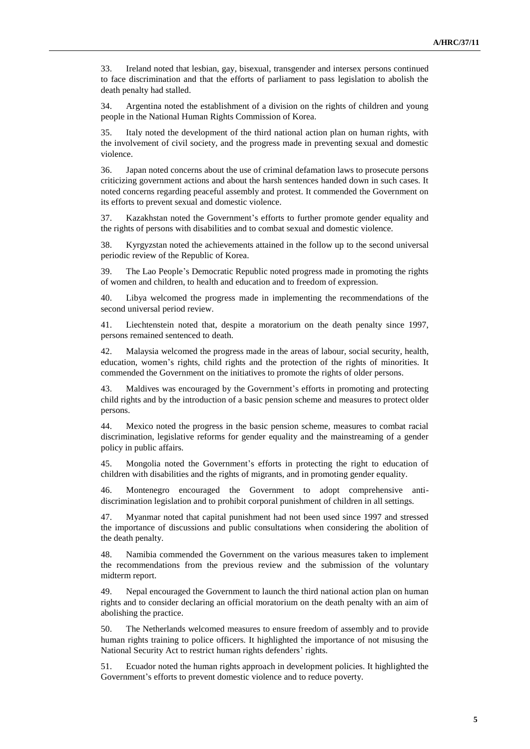33. Ireland noted that lesbian, gay, bisexual, transgender and intersex persons continued to face discrimination and that the efforts of parliament to pass legislation to abolish the death penalty had stalled.

34. Argentina noted the establishment of a division on the rights of children and young people in the National Human Rights Commission of Korea.

35. Italy noted the development of the third national action plan on human rights, with the involvement of civil society, and the progress made in preventing sexual and domestic violence.

36. Japan noted concerns about the use of criminal defamation laws to prosecute persons criticizing government actions and about the harsh sentences handed down in such cases. It noted concerns regarding peaceful assembly and protest. It commended the Government on its efforts to prevent sexual and domestic violence.

37. Kazakhstan noted the Government's efforts to further promote gender equality and the rights of persons with disabilities and to combat sexual and domestic violence.

38. Kyrgyzstan noted the achievements attained in the follow up to the second universal periodic review of the Republic of Korea.

39. The Lao People's Democratic Republic noted progress made in promoting the rights of women and children, to health and education and to freedom of expression.

40. Libya welcomed the progress made in implementing the recommendations of the second universal period review.

41. Liechtenstein noted that, despite a moratorium on the death penalty since 1997, persons remained sentenced to death.

42. Malaysia welcomed the progress made in the areas of labour, social security, health, education, women's rights, child rights and the protection of the rights of minorities. It commended the Government on the initiatives to promote the rights of older persons.

43. Maldives was encouraged by the Government's efforts in promoting and protecting child rights and by the introduction of a basic pension scheme and measures to protect older persons.

44. Mexico noted the progress in the basic pension scheme, measures to combat racial discrimination, legislative reforms for gender equality and the mainstreaming of a gender policy in public affairs.

45. Mongolia noted the Government's efforts in protecting the right to education of children with disabilities and the rights of migrants, and in promoting gender equality.

46. Montenegro encouraged the Government to adopt comprehensive antidiscrimination legislation and to prohibit corporal punishment of children in all settings.

47. Myanmar noted that capital punishment had not been used since 1997 and stressed the importance of discussions and public consultations when considering the abolition of the death penalty.

48. Namibia commended the Government on the various measures taken to implement the recommendations from the previous review and the submission of the voluntary midterm report.

49. Nepal encouraged the Government to launch the third national action plan on human rights and to consider declaring an official moratorium on the death penalty with an aim of abolishing the practice.

50. The Netherlands welcomed measures to ensure freedom of assembly and to provide human rights training to police officers. It highlighted the importance of not misusing the National Security Act to restrict human rights defenders' rights.

51. Ecuador noted the human rights approach in development policies. It highlighted the Government's efforts to prevent domestic violence and to reduce poverty.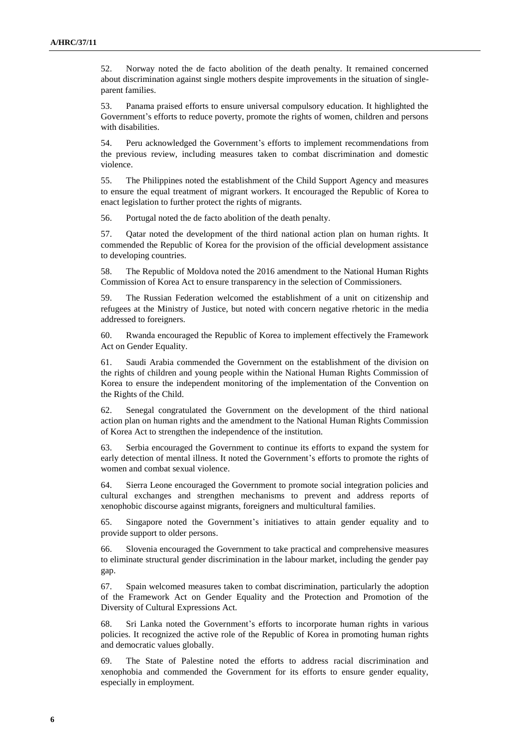52. Norway noted the de facto abolition of the death penalty. It remained concerned about discrimination against single mothers despite improvements in the situation of singleparent families.

53. Panama praised efforts to ensure universal compulsory education. It highlighted the Government's efforts to reduce poverty, promote the rights of women, children and persons with disabilities.

54. Peru acknowledged the Government's efforts to implement recommendations from the previous review, including measures taken to combat discrimination and domestic violence.

55. The Philippines noted the establishment of the Child Support Agency and measures to ensure the equal treatment of migrant workers. It encouraged the Republic of Korea to enact legislation to further protect the rights of migrants.

56. Portugal noted the de facto abolition of the death penalty.

57. Qatar noted the development of the third national action plan on human rights. It commended the Republic of Korea for the provision of the official development assistance to developing countries.

58. The Republic of Moldova noted the 2016 amendment to the National Human Rights Commission of Korea Act to ensure transparency in the selection of Commissioners.

59. The Russian Federation welcomed the establishment of a unit on citizenship and refugees at the Ministry of Justice, but noted with concern negative rhetoric in the media addressed to foreigners.

60. Rwanda encouraged the Republic of Korea to implement effectively the Framework Act on Gender Equality.

61. Saudi Arabia commended the Government on the establishment of the division on the rights of children and young people within the National Human Rights Commission of Korea to ensure the independent monitoring of the implementation of the Convention on the Rights of the Child.

62. Senegal congratulated the Government on the development of the third national action plan on human rights and the amendment to the National Human Rights Commission of Korea Act to strengthen the independence of the institution.

63. Serbia encouraged the Government to continue its efforts to expand the system for early detection of mental illness. It noted the Government's efforts to promote the rights of women and combat sexual violence.

64. Sierra Leone encouraged the Government to promote social integration policies and cultural exchanges and strengthen mechanisms to prevent and address reports of xenophobic discourse against migrants, foreigners and multicultural families.

65. Singapore noted the Government's initiatives to attain gender equality and to provide support to older persons.

66. Slovenia encouraged the Government to take practical and comprehensive measures to eliminate structural gender discrimination in the labour market, including the gender pay gap.

67. Spain welcomed measures taken to combat discrimination, particularly the adoption of the Framework Act on Gender Equality and the Protection and Promotion of the Diversity of Cultural Expressions Act.

68. Sri Lanka noted the Government's efforts to incorporate human rights in various policies. It recognized the active role of the Republic of Korea in promoting human rights and democratic values globally.

69. The State of Palestine noted the efforts to address racial discrimination and xenophobia and commended the Government for its efforts to ensure gender equality, especially in employment.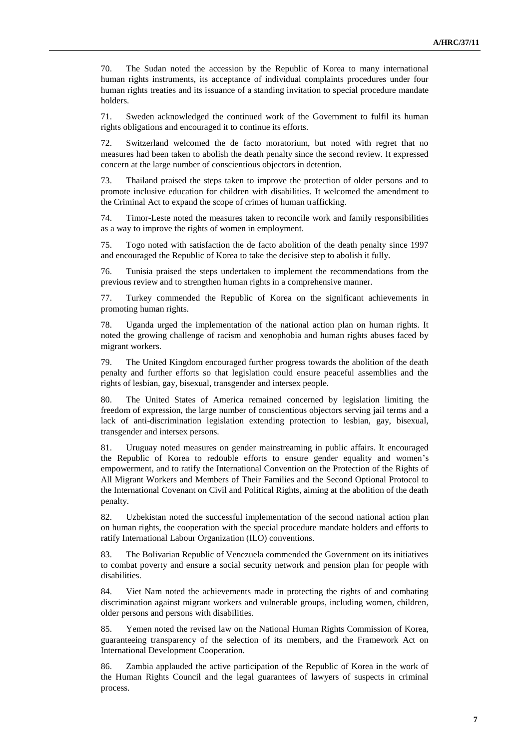70. The Sudan noted the accession by the Republic of Korea to many international human rights instruments, its acceptance of individual complaints procedures under four human rights treaties and its issuance of a standing invitation to special procedure mandate holders.

71. Sweden acknowledged the continued work of the Government to fulfil its human rights obligations and encouraged it to continue its efforts.

72. Switzerland welcomed the de facto moratorium, but noted with regret that no measures had been taken to abolish the death penalty since the second review. It expressed concern at the large number of conscientious objectors in detention.

73. Thailand praised the steps taken to improve the protection of older persons and to promote inclusive education for children with disabilities. It welcomed the amendment to the Criminal Act to expand the scope of crimes of human trafficking.

74. Timor-Leste noted the measures taken to reconcile work and family responsibilities as a way to improve the rights of women in employment.

75. Togo noted with satisfaction the de facto abolition of the death penalty since 1997 and encouraged the Republic of Korea to take the decisive step to abolish it fully.

76. Tunisia praised the steps undertaken to implement the recommendations from the previous review and to strengthen human rights in a comprehensive manner.

77. Turkey commended the Republic of Korea on the significant achievements in promoting human rights.

78. Uganda urged the implementation of the national action plan on human rights. It noted the growing challenge of racism and xenophobia and human rights abuses faced by migrant workers.

79. The United Kingdom encouraged further progress towards the abolition of the death penalty and further efforts so that legislation could ensure peaceful assemblies and the rights of lesbian, gay, bisexual, transgender and intersex people.

80. The United States of America remained concerned by legislation limiting the freedom of expression, the large number of conscientious objectors serving jail terms and a lack of anti-discrimination legislation extending protection to lesbian, gay, bisexual, transgender and intersex persons.

81. Uruguay noted measures on gender mainstreaming in public affairs. It encouraged the Republic of Korea to redouble efforts to ensure gender equality and women's empowerment, and to ratify the International Convention on the Protection of the Rights of All Migrant Workers and Members of Their Families and the Second Optional Protocol to the International Covenant on Civil and Political Rights, aiming at the abolition of the death penalty.

82. Uzbekistan noted the successful implementation of the second national action plan on human rights, the cooperation with the special procedure mandate holders and efforts to ratify International Labour Organization (ILO) conventions.

83. The Bolivarian Republic of Venezuela commended the Government on its initiatives to combat poverty and ensure a social security network and pension plan for people with disabilities.

84. Viet Nam noted the achievements made in protecting the rights of and combating discrimination against migrant workers and vulnerable groups, including women, children, older persons and persons with disabilities.

85. Yemen noted the revised law on the National Human Rights Commission of Korea, guaranteeing transparency of the selection of its members, and the Framework Act on International Development Cooperation.

86. Zambia applauded the active participation of the Republic of Korea in the work of the Human Rights Council and the legal guarantees of lawyers of suspects in criminal process.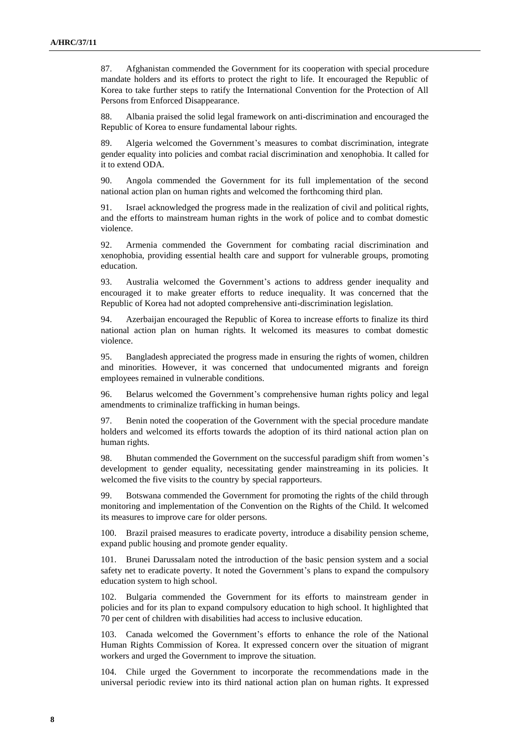87. Afghanistan commended the Government for its cooperation with special procedure mandate holders and its efforts to protect the right to life. It encouraged the Republic of Korea to take further steps to ratify the International Convention for the Protection of All Persons from Enforced Disappearance.

88. Albania praised the solid legal framework on anti-discrimination and encouraged the Republic of Korea to ensure fundamental labour rights.

89. Algeria welcomed the Government's measures to combat discrimination, integrate gender equality into policies and combat racial discrimination and xenophobia. It called for it to extend ODA.

90. Angola commended the Government for its full implementation of the second national action plan on human rights and welcomed the forthcoming third plan.

91. Israel acknowledged the progress made in the realization of civil and political rights, and the efforts to mainstream human rights in the work of police and to combat domestic violence.

92. Armenia commended the Government for combating racial discrimination and xenophobia, providing essential health care and support for vulnerable groups, promoting education.

93. Australia welcomed the Government's actions to address gender inequality and encouraged it to make greater efforts to reduce inequality. It was concerned that the Republic of Korea had not adopted comprehensive anti-discrimination legislation.

94. Azerbaijan encouraged the Republic of Korea to increase efforts to finalize its third national action plan on human rights. It welcomed its measures to combat domestic violence.

95. Bangladesh appreciated the progress made in ensuring the rights of women, children and minorities. However, it was concerned that undocumented migrants and foreign employees remained in vulnerable conditions.

96. Belarus welcomed the Government's comprehensive human rights policy and legal amendments to criminalize trafficking in human beings.

97. Benin noted the cooperation of the Government with the special procedure mandate holders and welcomed its efforts towards the adoption of its third national action plan on human rights.

98. Bhutan commended the Government on the successful paradigm shift from women's development to gender equality, necessitating gender mainstreaming in its policies. It welcomed the five visits to the country by special rapporteurs.

99. Botswana commended the Government for promoting the rights of the child through monitoring and implementation of the Convention on the Rights of the Child. It welcomed its measures to improve care for older persons.

100. Brazil praised measures to eradicate poverty, introduce a disability pension scheme, expand public housing and promote gender equality.

101. Brunei Darussalam noted the introduction of the basic pension system and a social safety net to eradicate poverty. It noted the Government's plans to expand the compulsory education system to high school.

102. Bulgaria commended the Government for its efforts to mainstream gender in policies and for its plan to expand compulsory education to high school. It highlighted that 70 per cent of children with disabilities had access to inclusive education.

103. Canada welcomed the Government's efforts to enhance the role of the National Human Rights Commission of Korea. It expressed concern over the situation of migrant workers and urged the Government to improve the situation.

104. Chile urged the Government to incorporate the recommendations made in the universal periodic review into its third national action plan on human rights. It expressed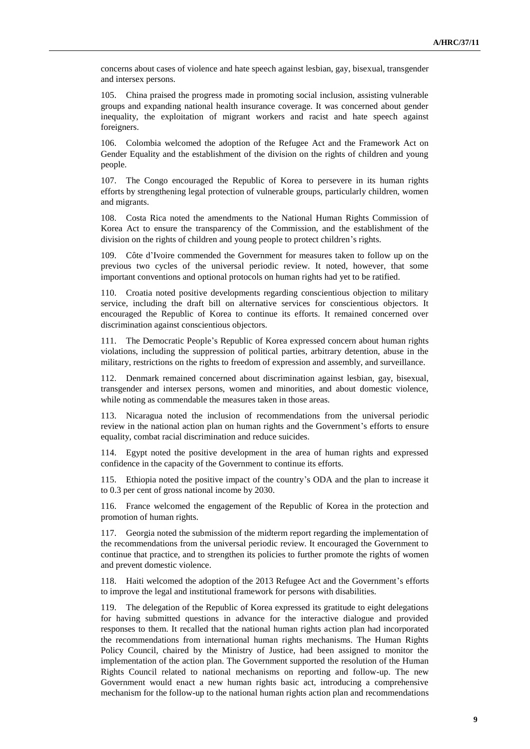concerns about cases of violence and hate speech against lesbian, gay, bisexual, transgender and intersex persons.

105. China praised the progress made in promoting social inclusion, assisting vulnerable groups and expanding national health insurance coverage. It was concerned about gender inequality, the exploitation of migrant workers and racist and hate speech against foreigners.

106. Colombia welcomed the adoption of the Refugee Act and the Framework Act on Gender Equality and the establishment of the division on the rights of children and young people.

107. The Congo encouraged the Republic of Korea to persevere in its human rights efforts by strengthening legal protection of vulnerable groups, particularly children, women and migrants.

108. Costa Rica noted the amendments to the National Human Rights Commission of Korea Act to ensure the transparency of the Commission, and the establishment of the division on the rights of children and young people to protect children's rights.

109. Côte d'Ivoire commended the Government for measures taken to follow up on the previous two cycles of the universal periodic review. It noted, however, that some important conventions and optional protocols on human rights had yet to be ratified.

110. Croatia noted positive developments regarding conscientious objection to military service, including the draft bill on alternative services for conscientious objectors. It encouraged the Republic of Korea to continue its efforts. It remained concerned over discrimination against conscientious objectors.

111. The Democratic People's Republic of Korea expressed concern about human rights violations, including the suppression of political parties, arbitrary detention, abuse in the military, restrictions on the rights to freedom of expression and assembly, and surveillance.

112. Denmark remained concerned about discrimination against lesbian, gay, bisexual, transgender and intersex persons, women and minorities, and about domestic violence, while noting as commendable the measures taken in those areas.

113. Nicaragua noted the inclusion of recommendations from the universal periodic review in the national action plan on human rights and the Government's efforts to ensure equality, combat racial discrimination and reduce suicides.

114. Egypt noted the positive development in the area of human rights and expressed confidence in the capacity of the Government to continue its efforts.

115. Ethiopia noted the positive impact of the country's ODA and the plan to increase it to 0.3 per cent of gross national income by 2030.

116. France welcomed the engagement of the Republic of Korea in the protection and promotion of human rights.

117. Georgia noted the submission of the midterm report regarding the implementation of the recommendations from the universal periodic review. It encouraged the Government to continue that practice, and to strengthen its policies to further promote the rights of women and prevent domestic violence.

Haiti welcomed the adoption of the 2013 Refugee Act and the Government's efforts to improve the legal and institutional framework for persons with disabilities.

119. The delegation of the Republic of Korea expressed its gratitude to eight delegations for having submitted questions in advance for the interactive dialogue and provided responses to them. It recalled that the national human rights action plan had incorporated the recommendations from international human rights mechanisms. The Human Rights Policy Council, chaired by the Ministry of Justice, had been assigned to monitor the implementation of the action plan. The Government supported the resolution of the Human Rights Council related to national mechanisms on reporting and follow-up. The new Government would enact a new human rights basic act, introducing a comprehensive mechanism for the follow-up to the national human rights action plan and recommendations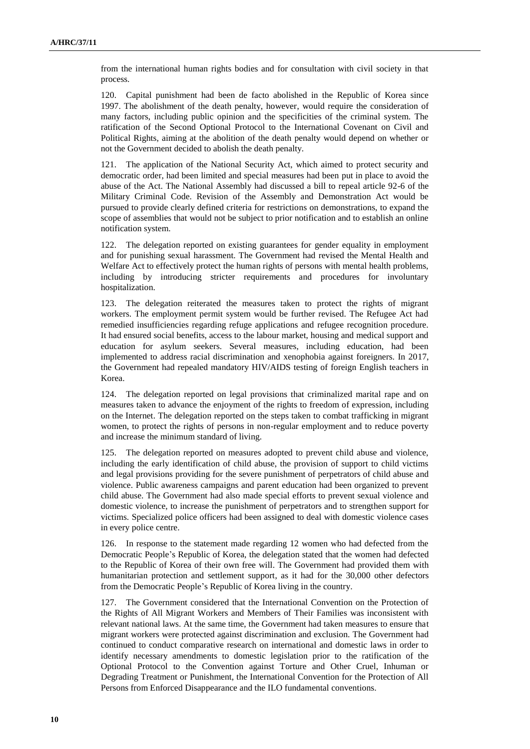from the international human rights bodies and for consultation with civil society in that process.

120. Capital punishment had been de facto abolished in the Republic of Korea since 1997. The abolishment of the death penalty, however, would require the consideration of many factors, including public opinion and the specificities of the criminal system. The ratification of the Second Optional Protocol to the International Covenant on Civil and Political Rights, aiming at the abolition of the death penalty would depend on whether or not the Government decided to abolish the death penalty.

121. The application of the National Security Act, which aimed to protect security and democratic order, had been limited and special measures had been put in place to avoid the abuse of the Act. The National Assembly had discussed a bill to repeal article 92-6 of the Military Criminal Code. Revision of the Assembly and Demonstration Act would be pursued to provide clearly defined criteria for restrictions on demonstrations, to expand the scope of assemblies that would not be subject to prior notification and to establish an online notification system.

122. The delegation reported on existing guarantees for gender equality in employment and for punishing sexual harassment. The Government had revised the Mental Health and Welfare Act to effectively protect the human rights of persons with mental health problems, including by introducing stricter requirements and procedures for involuntary hospitalization.

123. The delegation reiterated the measures taken to protect the rights of migrant workers. The employment permit system would be further revised. The Refugee Act had remedied insufficiencies regarding refuge applications and refugee recognition procedure. It had ensured social benefits, access to the labour market, housing and medical support and education for asylum seekers. Several measures, including education, had been implemented to address racial discrimination and xenophobia against foreigners. In 2017, the Government had repealed mandatory HIV/AIDS testing of foreign English teachers in Korea.

124. The delegation reported on legal provisions that criminalized marital rape and on measures taken to advance the enjoyment of the rights to freedom of expression, including on the Internet. The delegation reported on the steps taken to combat trafficking in migrant women, to protect the rights of persons in non-regular employment and to reduce poverty and increase the minimum standard of living.

125. The delegation reported on measures adopted to prevent child abuse and violence, including the early identification of child abuse, the provision of support to child victims and legal provisions providing for the severe punishment of perpetrators of child abuse and violence. Public awareness campaigns and parent education had been organized to prevent child abuse. The Government had also made special efforts to prevent sexual violence and domestic violence, to increase the punishment of perpetrators and to strengthen support for victims. Specialized police officers had been assigned to deal with domestic violence cases in every police centre.

126. In response to the statement made regarding 12 women who had defected from the Democratic People's Republic of Korea, the delegation stated that the women had defected to the Republic of Korea of their own free will. The Government had provided them with humanitarian protection and settlement support, as it had for the 30,000 other defectors from the Democratic People's Republic of Korea living in the country.

127. The Government considered that the International Convention on the Protection of the Rights of All Migrant Workers and Members of Their Families was inconsistent with relevant national laws. At the same time, the Government had taken measures to ensure that migrant workers were protected against discrimination and exclusion. The Government had continued to conduct comparative research on international and domestic laws in order to identify necessary amendments to domestic legislation prior to the ratification of the Optional Protocol to the Convention against Torture and Other Cruel, Inhuman or Degrading Treatment or Punishment, the International Convention for the Protection of All Persons from Enforced Disappearance and the ILO fundamental conventions.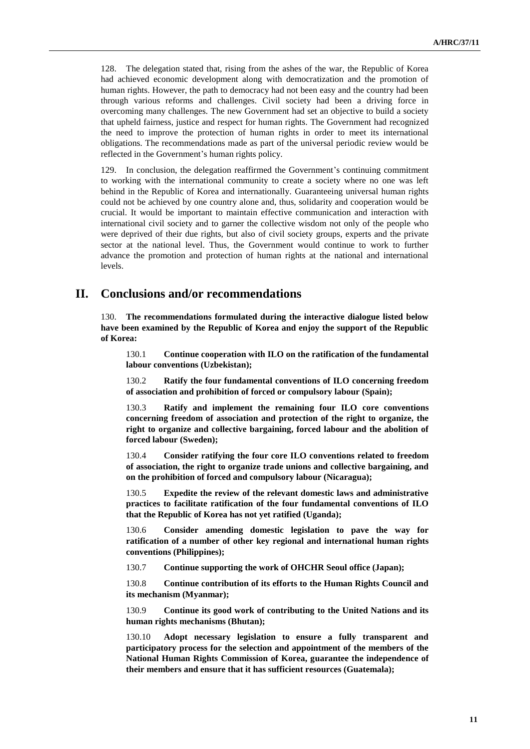128. The delegation stated that, rising from the ashes of the war, the Republic of Korea had achieved economic development along with democratization and the promotion of human rights. However, the path to democracy had not been easy and the country had been through various reforms and challenges. Civil society had been a driving force in overcoming many challenges. The new Government had set an objective to build a society that upheld fairness, justice and respect for human rights. The Government had recognized the need to improve the protection of human rights in order to meet its international obligations. The recommendations made as part of the universal periodic review would be reflected in the Government's human rights policy.

129. In conclusion, the delegation reaffirmed the Government's continuing commitment to working with the international community to create a society where no one was left behind in the Republic of Korea and internationally. Guaranteeing universal human rights could not be achieved by one country alone and, thus, solidarity and cooperation would be crucial. It would be important to maintain effective communication and interaction with international civil society and to garner the collective wisdom not only of the people who were deprived of their due rights, but also of civil society groups, experts and the private sector at the national level. Thus, the Government would continue to work to further advance the promotion and protection of human rights at the national and international levels.

## **II. Conclusions and/or recommendations**

130. **The recommendations formulated during the interactive dialogue listed below have been examined by the Republic of Korea and enjoy the support of the Republic of Korea:**

130.1 **Continue cooperation with ILO on the ratification of the fundamental labour conventions (Uzbekistan);**

130.2 **Ratify the four fundamental conventions of ILO concerning freedom of association and prohibition of forced or compulsory labour (Spain);**

130.3 **Ratify and implement the remaining four ILO core conventions concerning freedom of association and protection of the right to organize, the right to organize and collective bargaining, forced labour and the abolition of forced labour (Sweden);**

130.4 **Consider ratifying the four core ILO conventions related to freedom of association, the right to organize trade unions and collective bargaining, and on the prohibition of forced and compulsory labour (Nicaragua);**

130.5 **Expedite the review of the relevant domestic laws and administrative practices to facilitate ratification of the four fundamental conventions of ILO that the Republic of Korea has not yet ratified (Uganda);**

130.6 **Consider amending domestic legislation to pave the way for ratification of a number of other key regional and international human rights conventions (Philippines);**

130.7 **Continue supporting the work of OHCHR Seoul office (Japan);**

130.8 **Continue contribution of its efforts to the Human Rights Council and its mechanism (Myanmar);**

130.9 **Continue its good work of contributing to the United Nations and its human rights mechanisms (Bhutan);**

130.10 **Adopt necessary legislation to ensure a fully transparent and participatory process for the selection and appointment of the members of the National Human Rights Commission of Korea, guarantee the independence of their members and ensure that it has sufficient resources (Guatemala);**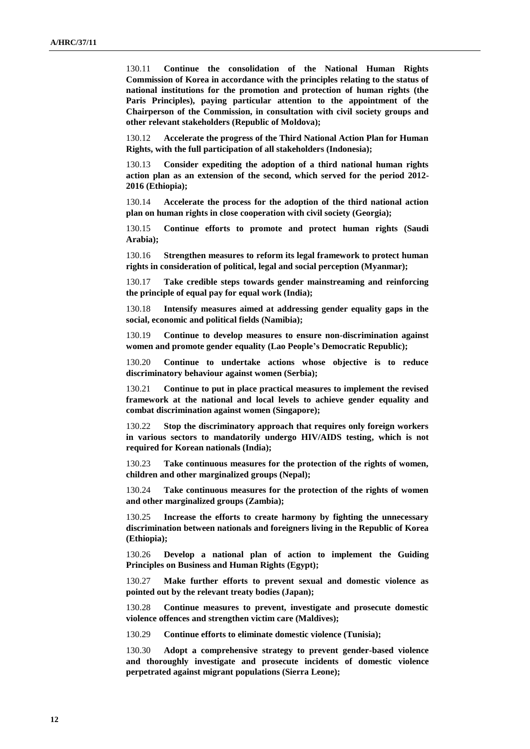130.11 **Continue the consolidation of the National Human Rights Commission of Korea in accordance with the principles relating to the status of national institutions for the promotion and protection of human rights (the Paris Principles), paying particular attention to the appointment of the Chairperson of the Commission, in consultation with civil society groups and other relevant stakeholders (Republic of Moldova);**

130.12 **Accelerate the progress of the Third National Action Plan for Human Rights, with the full participation of all stakeholders (Indonesia);**

130.13 **Consider expediting the adoption of a third national human rights action plan as an extension of the second, which served for the period 2012- 2016 (Ethiopia);**

130.14 **Accelerate the process for the adoption of the third national action plan on human rights in close cooperation with civil society (Georgia);**

130.15 **Continue efforts to promote and protect human rights (Saudi Arabia);**

130.16 **Strengthen measures to reform its legal framework to protect human rights in consideration of political, legal and social perception (Myanmar);**

130.17 **Take credible steps towards gender mainstreaming and reinforcing the principle of equal pay for equal work (India);**

130.18 **Intensify measures aimed at addressing gender equality gaps in the social, economic and political fields (Namibia);**

130.19 **Continue to develop measures to ensure non-discrimination against women and promote gender equality (Lao People's Democratic Republic);**

130.20 **Continue to undertake actions whose objective is to reduce discriminatory behaviour against women (Serbia);**

130.21 **Continue to put in place practical measures to implement the revised framework at the national and local levels to achieve gender equality and combat discrimination against women (Singapore);**

130.22 **Stop the discriminatory approach that requires only foreign workers in various sectors to mandatorily undergo HIV/AIDS testing, which is not required for Korean nationals (India);**

130.23 **Take continuous measures for the protection of the rights of women, children and other marginalized groups (Nepal);**

130.24 **Take continuous measures for the protection of the rights of women and other marginalized groups (Zambia);**

130.25 **Increase the efforts to create harmony by fighting the unnecessary discrimination between nationals and foreigners living in the Republic of Korea (Ethiopia);**

130.26 **Develop a national plan of action to implement the Guiding Principles on Business and Human Rights (Egypt);**

130.27 **Make further efforts to prevent sexual and domestic violence as pointed out by the relevant treaty bodies (Japan);**

130.28 **Continue measures to prevent, investigate and prosecute domestic violence offences and strengthen victim care (Maldives);**

130.29 **Continue efforts to eliminate domestic violence (Tunisia);**

130.30 **Adopt a comprehensive strategy to prevent gender-based violence and thoroughly investigate and prosecute incidents of domestic violence perpetrated against migrant populations (Sierra Leone);**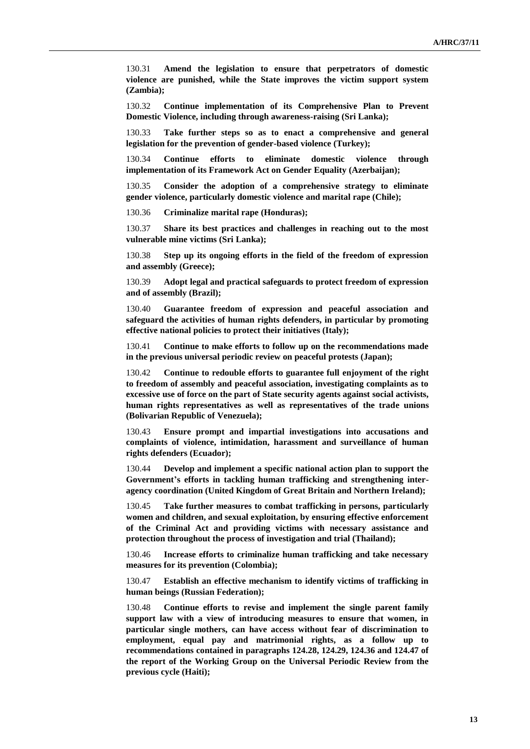130.31 **Amend the legislation to ensure that perpetrators of domestic violence are punished, while the State improves the victim support system (Zambia);**

130.32 **Continue implementation of its Comprehensive Plan to Prevent Domestic Violence, including through awareness-raising (Sri Lanka);**

130.33 **Take further steps so as to enact a comprehensive and general legislation for the prevention of gender-based violence (Turkey);**

130.34 **Continue efforts to eliminate domestic violence through implementation of its Framework Act on Gender Equality (Azerbaijan);**

130.35 **Consider the adoption of a comprehensive strategy to eliminate gender violence, particularly domestic violence and marital rape (Chile);**

130.36 **Criminalize marital rape (Honduras);**

130.37 **Share its best practices and challenges in reaching out to the most vulnerable mine victims (Sri Lanka);**

130.38 **Step up its ongoing efforts in the field of the freedom of expression and assembly (Greece);**

130.39 **Adopt legal and practical safeguards to protect freedom of expression and of assembly (Brazil);**

130.40 **Guarantee freedom of expression and peaceful association and safeguard the activities of human rights defenders, in particular by promoting effective national policies to protect their initiatives (Italy);**

130.41 **Continue to make efforts to follow up on the recommendations made in the previous universal periodic review on peaceful protests (Japan);**

130.42 **Continue to redouble efforts to guarantee full enjoyment of the right to freedom of assembly and peaceful association, investigating complaints as to excessive use of force on the part of State security agents against social activists, human rights representatives as well as representatives of the trade unions (Bolivarian Republic of Venezuela);**

130.43 **Ensure prompt and impartial investigations into accusations and complaints of violence, intimidation, harassment and surveillance of human rights defenders (Ecuador);**

130.44 **Develop and implement a specific national action plan to support the Government's efforts in tackling human trafficking and strengthening interagency coordination (United Kingdom of Great Britain and Northern Ireland);**

130.45 **Take further measures to combat trafficking in persons, particularly women and children, and sexual exploitation, by ensuring effective enforcement of the Criminal Act and providing victims with necessary assistance and protection throughout the process of investigation and trial (Thailand);**

130.46 **Increase efforts to criminalize human trafficking and take necessary measures for its prevention (Colombia);**

130.47 **Establish an effective mechanism to identify victims of trafficking in human beings (Russian Federation);**

130.48 **Continue efforts to revise and implement the single parent family support law with a view of introducing measures to ensure that women, in particular single mothers, can have access without fear of discrimination to employment, equal pay and matrimonial rights, as a follow up to recommendations contained in paragraphs 124.28, 124.29, 124.36 and 124.47 of the report of the Working Group on the Universal Periodic Review from the previous cycle (Haiti);**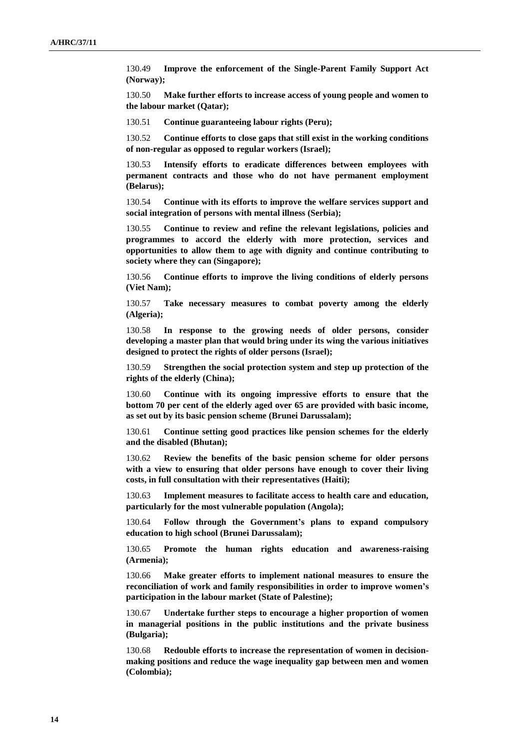130.49 **Improve the enforcement of the Single-Parent Family Support Act (Norway);**

130.50 **Make further efforts to increase access of young people and women to the labour market (Qatar);**

130.51 **Continue guaranteeing labour rights (Peru);**

130.52 **Continue efforts to close gaps that still exist in the working conditions of non-regular as opposed to regular workers (Israel);**

130.53 **Intensify efforts to eradicate differences between employees with permanent contracts and those who do not have permanent employment (Belarus);**

130.54 **Continue with its efforts to improve the welfare services support and social integration of persons with mental illness (Serbia);**

130.55 **Continue to review and refine the relevant legislations, policies and programmes to accord the elderly with more protection, services and opportunities to allow them to age with dignity and continue contributing to society where they can (Singapore);**

130.56 **Continue efforts to improve the living conditions of elderly persons (Viet Nam);**

130.57 **Take necessary measures to combat poverty among the elderly (Algeria);**

130.58 **In response to the growing needs of older persons, consider developing a master plan that would bring under its wing the various initiatives designed to protect the rights of older persons (Israel);**

130.59 **Strengthen the social protection system and step up protection of the rights of the elderly (China);**

130.60 **Continue with its ongoing impressive efforts to ensure that the bottom 70 per cent of the elderly aged over 65 are provided with basic income, as set out by its basic pension scheme (Brunei Darussalam);**

130.61 **Continue setting good practices like pension schemes for the elderly and the disabled (Bhutan);**

130.62 **Review the benefits of the basic pension scheme for older persons with a view to ensuring that older persons have enough to cover their living costs, in full consultation with their representatives (Haiti);**

130.63 **Implement measures to facilitate access to health care and education, particularly for the most vulnerable population (Angola);**

130.64 **Follow through the Government's plans to expand compulsory education to high school (Brunei Darussalam);**

130.65 **Promote the human rights education and awareness-raising (Armenia);**

130.66 **Make greater efforts to implement national measures to ensure the reconciliation of work and family responsibilities in order to improve women's participation in the labour market (State of Palestine);**

130.67 **Undertake further steps to encourage a higher proportion of women in managerial positions in the public institutions and the private business (Bulgaria);**

130.68 **Redouble efforts to increase the representation of women in decisionmaking positions and reduce the wage inequality gap between men and women (Colombia);**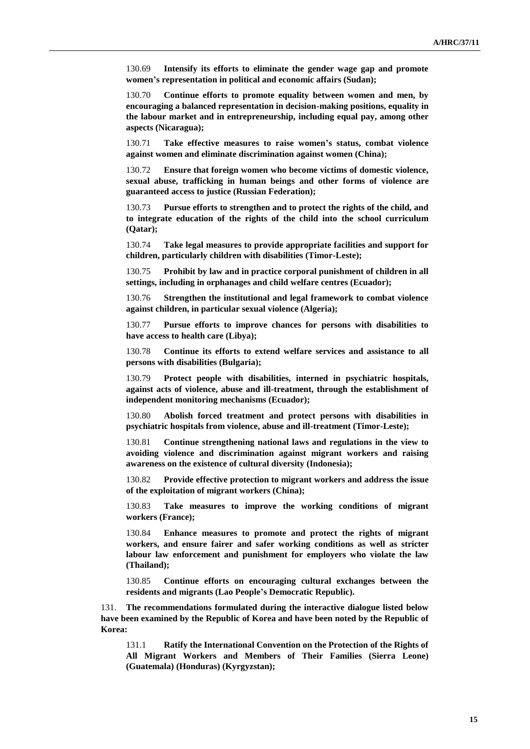130.69 **Intensify its efforts to eliminate the gender wage gap and promote women's representation in political and economic affairs (Sudan);**

130.70 **Continue efforts to promote equality between women and men, by encouraging a balanced representation in decision-making positions, equality in the labour market and in entrepreneurship, including equal pay, among other aspects (Nicaragua);**

130.71 **Take effective measures to raise women's status, combat violence against women and eliminate discrimination against women (China);**

130.72 **Ensure that foreign women who become victims of domestic violence, sexual abuse, trafficking in human beings and other forms of violence are guaranteed access to justice (Russian Federation);**

130.73 **Pursue efforts to strengthen and to protect the rights of the child, and to integrate education of the rights of the child into the school curriculum (Qatar);**

130.74 **Take legal measures to provide appropriate facilities and support for children, particularly children with disabilities (Timor-Leste);**

130.75 **Prohibit by law and in practice corporal punishment of children in all settings, including in orphanages and child welfare centres (Ecuador);**

130.76 **Strengthen the institutional and legal framework to combat violence against children, in particular sexual violence (Algeria);**

130.77 **Pursue efforts to improve chances for persons with disabilities to have access to health care (Libya);**

130.78 **Continue its efforts to extend welfare services and assistance to all persons with disabilities (Bulgaria);**

130.79 **Protect people with disabilities, interned in psychiatric hospitals, against acts of violence, abuse and ill-treatment, through the establishment of independent monitoring mechanisms (Ecuador);**

130.80 **Abolish forced treatment and protect persons with disabilities in psychiatric hospitals from violence, abuse and ill-treatment (Timor-Leste);**

130.81 **Continue strengthening national laws and regulations in the view to avoiding violence and discrimination against migrant workers and raising awareness on the existence of cultural diversity (Indonesia);**

130.82 **Provide effective protection to migrant workers and address the issue of the exploitation of migrant workers (China);**

130.83 **Take measures to improve the working conditions of migrant workers (France);**

130.84 **Enhance measures to promote and protect the rights of migrant workers, and ensure fairer and safer working conditions as well as stricter labour law enforcement and punishment for employers who violate the law (Thailand);**

130.85 **Continue efforts on encouraging cultural exchanges between the residents and migrants (Lao People's Democratic Republic).**

131. **The recommendations formulated during the interactive dialogue listed below have been examined by the Republic of Korea and have been noted by the Republic of Korea:**

131.1 **Ratify the International Convention on the Protection of the Rights of All Migrant Workers and Members of Their Families (Sierra Leone) (Guatemala) (Honduras) (Kyrgyzstan);**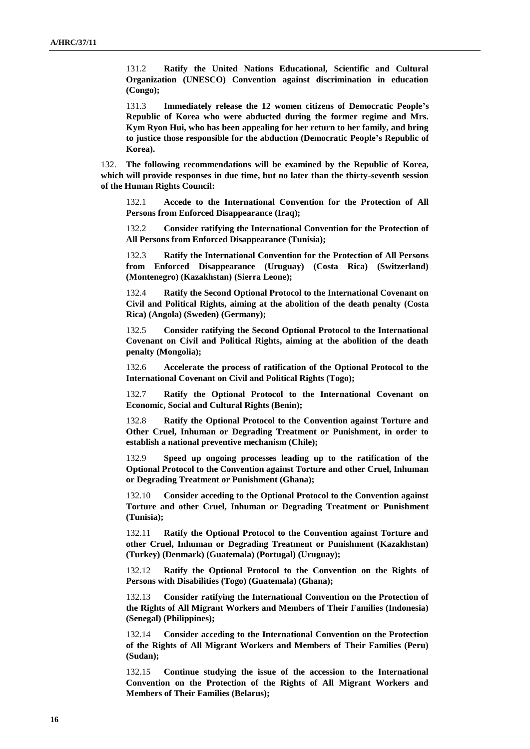131.2 **Ratify the United Nations Educational, Scientific and Cultural Organization (UNESCO) Convention against discrimination in education (Congo);**

131.3 **Immediately release the 12 women citizens of Democratic People's Republic of Korea who were abducted during the former regime and Mrs. Kym Ryon Hui, who has been appealing for her return to her family, and bring to justice those responsible for the abduction (Democratic People's Republic of Korea).**

132. **The following recommendations will be examined by the Republic of Korea, which will provide responses in due time, but no later than the thirty-seventh session of the Human Rights Council:**

132.1 **Accede to the International Convention for the Protection of All Persons from Enforced Disappearance (Iraq);**

132.2 **Consider ratifying the International Convention for the Protection of All Persons from Enforced Disappearance (Tunisia);**

132.3 **Ratify the International Convention for the Protection of All Persons from Enforced Disappearance (Uruguay) (Costa Rica) (Switzerland) (Montenegro) (Kazakhstan) (Sierra Leone);**

132.4 **Ratify the Second Optional Protocol to the International Covenant on Civil and Political Rights, aiming at the abolition of the death penalty (Costa Rica) (Angola) (Sweden) (Germany);**

132.5 **Consider ratifying the Second Optional Protocol to the International Covenant on Civil and Political Rights, aiming at the abolition of the death penalty (Mongolia);**

132.6 **Accelerate the process of ratification of the Optional Protocol to the International Covenant on Civil and Political Rights (Togo);**

132.7 **Ratify the Optional Protocol to the International Covenant on Economic, Social and Cultural Rights (Benin);**

132.8 **Ratify the Optional Protocol to the Convention against Torture and Other Cruel, Inhuman or Degrading Treatment or Punishment, in order to establish a national preventive mechanism (Chile);**

132.9 **Speed up ongoing processes leading up to the ratification of the Optional Protocol to the Convention against Torture and other Cruel, Inhuman or Degrading Treatment or Punishment (Ghana);**

132.10 **Consider acceding to the Optional Protocol to the Convention against Torture and other Cruel, Inhuman or Degrading Treatment or Punishment (Tunisia);**

132.11 **Ratify the Optional Protocol to the Convention against Torture and other Cruel, Inhuman or Degrading Treatment or Punishment (Kazakhstan) (Turkey) (Denmark) (Guatemala) (Portugal) (Uruguay);**

132.12 **Ratify the Optional Protocol to the Convention on the Rights of Persons with Disabilities (Togo) (Guatemala) (Ghana);**

132.13 **Consider ratifying the International Convention on the Protection of the Rights of All Migrant Workers and Members of Their Families (Indonesia) (Senegal) (Philippines);**

132.14 **Consider acceding to the International Convention on the Protection of the Rights of All Migrant Workers and Members of Their Families (Peru) (Sudan);**

132.15 **Continue studying the issue of the accession to the International Convention on the Protection of the Rights of All Migrant Workers and Members of Their Families (Belarus);**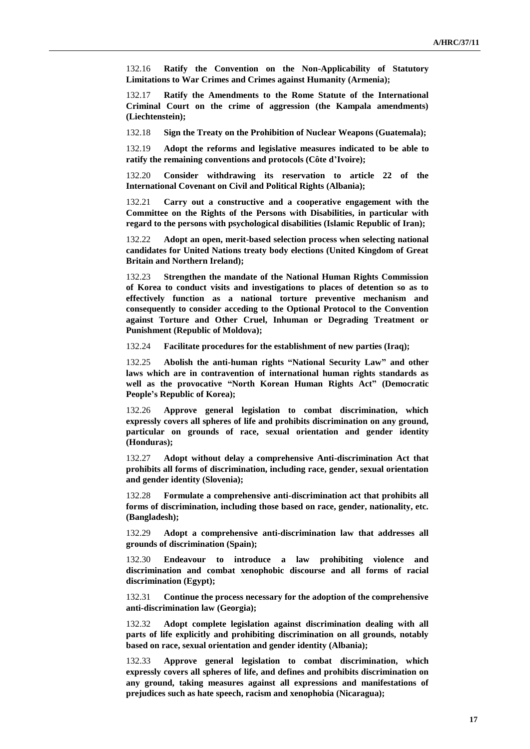132.16 **Ratify the Convention on the Non-Applicability of Statutory Limitations to War Crimes and Crimes against Humanity (Armenia);**

132.17 **Ratify the Amendments to the Rome Statute of the International Criminal Court on the crime of aggression (the Kampala amendments) (Liechtenstein);**

132.18 **Sign the Treaty on the Prohibition of Nuclear Weapons (Guatemala);**

132.19 **Adopt the reforms and legislative measures indicated to be able to ratify the remaining conventions and protocols (Côte d'Ivoire);**

132.20 **Consider withdrawing its reservation to article 22 of the International Covenant on Civil and Political Rights (Albania);**

132.21 **Carry out a constructive and a cooperative engagement with the Committee on the Rights of the Persons with Disabilities, in particular with regard to the persons with psychological disabilities (Islamic Republic of Iran);**

132.22 **Adopt an open, merit-based selection process when selecting national candidates for United Nations treaty body elections (United Kingdom of Great Britain and Northern Ireland);**

132.23 **Strengthen the mandate of the National Human Rights Commission of Korea to conduct visits and investigations to places of detention so as to effectively function as a national torture preventive mechanism and consequently to consider acceding to the Optional Protocol to the Convention against Torture and Other Cruel, Inhuman or Degrading Treatment or Punishment (Republic of Moldova);**

132.24 **Facilitate procedures for the establishment of new parties (Iraq);**

132.25 **Abolish the anti-human rights "National Security Law" and other laws which are in contravention of international human rights standards as well as the provocative "North Korean Human Rights Act" (Democratic People's Republic of Korea);**

132.26 **Approve general legislation to combat discrimination, which expressly covers all spheres of life and prohibits discrimination on any ground, particular on grounds of race, sexual orientation and gender identity (Honduras);**

132.27 **Adopt without delay a comprehensive Anti-discrimination Act that prohibits all forms of discrimination, including race, gender, sexual orientation and gender identity (Slovenia);**

132.28 **Formulate a comprehensive anti-discrimination act that prohibits all forms of discrimination, including those based on race, gender, nationality, etc. (Bangladesh);**

132.29 **Adopt a comprehensive anti-discrimination law that addresses all grounds of discrimination (Spain);**

132.30 **Endeavour to introduce a law prohibiting violence and discrimination and combat xenophobic discourse and all forms of racial discrimination (Egypt);**

132.31 **Continue the process necessary for the adoption of the comprehensive anti-discrimination law (Georgia);**

132.32 **Adopt complete legislation against discrimination dealing with all parts of life explicitly and prohibiting discrimination on all grounds, notably based on race, sexual orientation and gender identity (Albania);**

132.33 **Approve general legislation to combat discrimination, which expressly covers all spheres of life, and defines and prohibits discrimination on any ground, taking measures against all expressions and manifestations of prejudices such as hate speech, racism and xenophobia (Nicaragua);**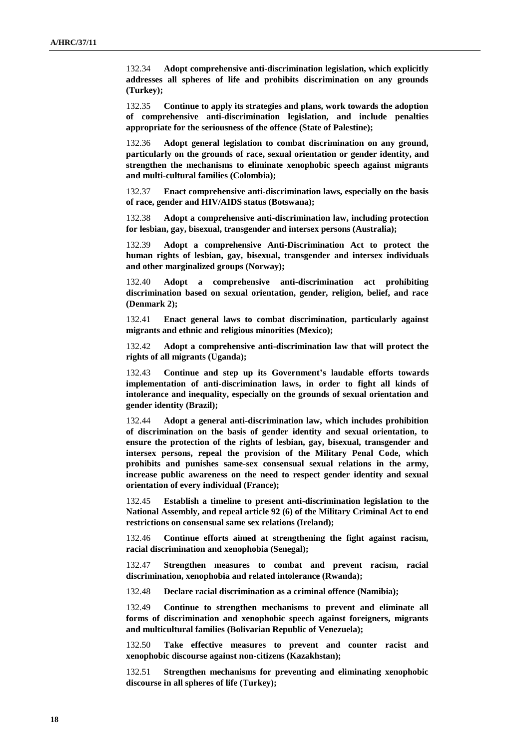132.34 **Adopt comprehensive anti-discrimination legislation, which explicitly addresses all spheres of life and prohibits discrimination on any grounds (Turkey);**

132.35 **Continue to apply its strategies and plans, work towards the adoption of comprehensive anti-discrimination legislation, and include penalties appropriate for the seriousness of the offence (State of Palestine);**

132.36 **Adopt general legislation to combat discrimination on any ground, particularly on the grounds of race, sexual orientation or gender identity, and strengthen the mechanisms to eliminate xenophobic speech against migrants and multi-cultural families (Colombia);**

132.37 **Enact comprehensive anti-discrimination laws, especially on the basis of race, gender and HIV/AIDS status (Botswana);**

132.38 **Adopt a comprehensive anti-discrimination law, including protection for lesbian, gay, bisexual, transgender and intersex persons (Australia);**

132.39 **Adopt a comprehensive Anti-Discrimination Act to protect the human rights of lesbian, gay, bisexual, transgender and intersex individuals and other marginalized groups (Norway);**

132.40 **Adopt a comprehensive anti-discrimination act prohibiting discrimination based on sexual orientation, gender, religion, belief, and race (Denmark 2);**

132.41 **Enact general laws to combat discrimination, particularly against migrants and ethnic and religious minorities (Mexico);**

132.42 **Adopt a comprehensive anti-discrimination law that will protect the rights of all migrants (Uganda);**

132.43 **Continue and step up its Government's laudable efforts towards implementation of anti-discrimination laws, in order to fight all kinds of intolerance and inequality, especially on the grounds of sexual orientation and gender identity (Brazil);**

132.44 **Adopt a general anti-discrimination law, which includes prohibition of discrimination on the basis of gender identity and sexual orientation, to ensure the protection of the rights of lesbian, gay, bisexual, transgender and intersex persons, repeal the provision of the Military Penal Code, which prohibits and punishes same-sex consensual sexual relations in the army, increase public awareness on the need to respect gender identity and sexual orientation of every individual (France);**

132.45 **Establish a timeline to present anti-discrimination legislation to the National Assembly, and repeal article 92 (6) of the Military Criminal Act to end restrictions on consensual same sex relations (Ireland);**

132.46 **Continue efforts aimed at strengthening the fight against racism, racial discrimination and xenophobia (Senegal);**

132.47 **Strengthen measures to combat and prevent racism, racial discrimination, xenophobia and related intolerance (Rwanda);**

132.48 **Declare racial discrimination as a criminal offence (Namibia);**

132.49 **Continue to strengthen mechanisms to prevent and eliminate all forms of discrimination and xenophobic speech against foreigners, migrants and multicultural families (Bolivarian Republic of Venezuela);**

132.50 **Take effective measures to prevent and counter racist and xenophobic discourse against non-citizens (Kazakhstan);**

132.51 **Strengthen mechanisms for preventing and eliminating xenophobic discourse in all spheres of life (Turkey);**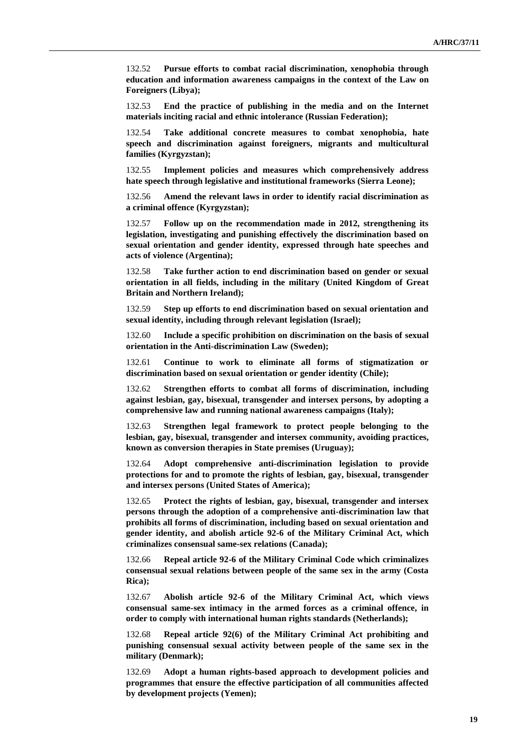132.52 **Pursue efforts to combat racial discrimination, xenophobia through education and information awareness campaigns in the context of the Law on Foreigners (Libya);**

132.53 **End the practice of publishing in the media and on the Internet materials inciting racial and ethnic intolerance (Russian Federation);**

132.54 **Take additional concrete measures to combat xenophobia, hate speech and discrimination against foreigners, migrants and multicultural families (Kyrgyzstan);**

132.55 **Implement policies and measures which comprehensively address hate speech through legislative and institutional frameworks (Sierra Leone);**

132.56 **Amend the relevant laws in order to identify racial discrimination as a criminal offence (Kyrgyzstan);**

132.57 **Follow up on the recommendation made in 2012, strengthening its legislation, investigating and punishing effectively the discrimination based on sexual orientation and gender identity, expressed through hate speeches and acts of violence (Argentina);**

132.58 **Take further action to end discrimination based on gender or sexual orientation in all fields, including in the military (United Kingdom of Great Britain and Northern Ireland);**

132.59 **Step up efforts to end discrimination based on sexual orientation and sexual identity, including through relevant legislation (Israel);**

132.60 **Include a specific prohibition on discrimination on the basis of sexual orientation in the Anti-discrimination Law (Sweden);**

132.61 **Continue to work to eliminate all forms of stigmatization or discrimination based on sexual orientation or gender identity (Chile);**

132.62 **Strengthen efforts to combat all forms of discrimination, including against lesbian, gay, bisexual, transgender and intersex persons, by adopting a comprehensive law and running national awareness campaigns (Italy);**

132.63 **Strengthen legal framework to protect people belonging to the lesbian, gay, bisexual, transgender and intersex community, avoiding practices, known as conversion therapies in State premises (Uruguay);**

132.64 **Adopt comprehensive anti-discrimination legislation to provide protections for and to promote the rights of lesbian, gay, bisexual, transgender and intersex persons (United States of America);**

132.65 **Protect the rights of lesbian, gay, bisexual, transgender and intersex persons through the adoption of a comprehensive anti-discrimination law that prohibits all forms of discrimination, including based on sexual orientation and gender identity, and abolish article 92-6 of the Military Criminal Act, which criminalizes consensual same-sex relations (Canada);**

132.66 **Repeal article 92-6 of the Military Criminal Code which criminalizes consensual sexual relations between people of the same sex in the army (Costa Rica);**

132.67 **Abolish article 92-6 of the Military Criminal Act, which views consensual same-sex intimacy in the armed forces as a criminal offence, in order to comply with international human rights standards (Netherlands);**

132.68 **Repeal article 92(6) of the Military Criminal Act prohibiting and punishing consensual sexual activity between people of the same sex in the military (Denmark);**

132.69 **Adopt a human rights-based approach to development policies and programmes that ensure the effective participation of all communities affected by development projects (Yemen);**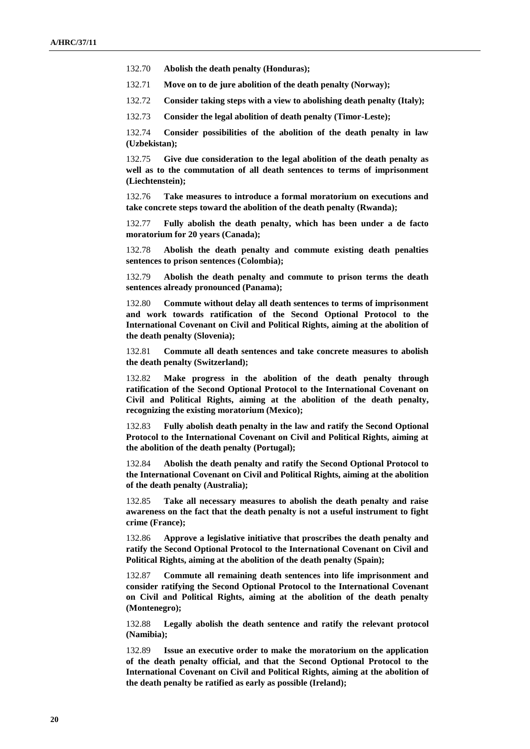132.70 **Abolish the death penalty (Honduras);**

132.71 **Move on to de jure abolition of the death penalty (Norway);**

132.72 **Consider taking steps with a view to abolishing death penalty (Italy);**

132.73 **Consider the legal abolition of death penalty (Timor-Leste);**

132.74 **Consider possibilities of the abolition of the death penalty in law (Uzbekistan);**

132.75 **Give due consideration to the legal abolition of the death penalty as well as to the commutation of all death sentences to terms of imprisonment (Liechtenstein);** 

132.76 **Take measures to introduce a formal moratorium on executions and take concrete steps toward the abolition of the death penalty (Rwanda);**

132.77 **Fully abolish the death penalty, which has been under a de facto moratorium for 20 years (Canada);**

132.78 **Abolish the death penalty and commute existing death penalties sentences to prison sentences (Colombia);**

132.79 **Abolish the death penalty and commute to prison terms the death sentences already pronounced (Panama);**

132.80 **Commute without delay all death sentences to terms of imprisonment and work towards ratification of the Second Optional Protocol to the International Covenant on Civil and Political Rights, aiming at the abolition of the death penalty (Slovenia);**

132.81 **Commute all death sentences and take concrete measures to abolish the death penalty (Switzerland);**

132.82 **Make progress in the abolition of the death penalty through ratification of the Second Optional Protocol to the International Covenant on Civil and Political Rights, aiming at the abolition of the death penalty, recognizing the existing moratorium (Mexico);**

132.83 **Fully abolish death penalty in the law and ratify the Second Optional Protocol to the International Covenant on Civil and Political Rights, aiming at the abolition of the death penalty (Portugal);**

132.84 **Abolish the death penalty and ratify the Second Optional Protocol to the International Covenant on Civil and Political Rights, aiming at the abolition of the death penalty (Australia);**

132.85 **Take all necessary measures to abolish the death penalty and raise awareness on the fact that the death penalty is not a useful instrument to fight crime (France);**

132.86 **Approve a legislative initiative that proscribes the death penalty and ratify the Second Optional Protocol to the International Covenant on Civil and Political Rights, aiming at the abolition of the death penalty (Spain);**

132.87 **Commute all remaining death sentences into life imprisonment and consider ratifying the Second Optional Protocol to the International Covenant on Civil and Political Rights, aiming at the abolition of the death penalty (Montenegro);**

132.88 **Legally abolish the death sentence and ratify the relevant protocol (Namibia);**

132.89 **Issue an executive order to make the moratorium on the application of the death penalty official, and that the Second Optional Protocol to the International Covenant on Civil and Political Rights, aiming at the abolition of the death penalty be ratified as early as possible (Ireland);**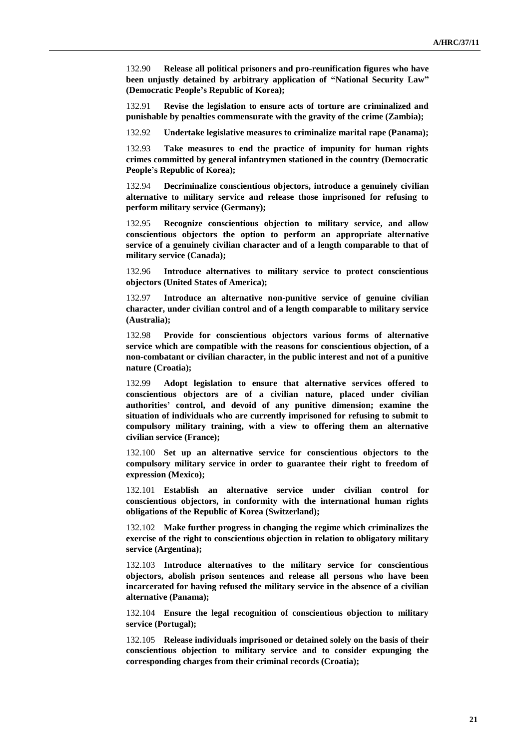132.90 **Release all political prisoners and pro-reunification figures who have been unjustly detained by arbitrary application of "National Security Law" (Democratic People's Republic of Korea);**

132.91 **Revise the legislation to ensure acts of torture are criminalized and punishable by penalties commensurate with the gravity of the crime (Zambia);**

132.92 **Undertake legislative measures to criminalize marital rape (Panama);**

132.93 **Take measures to end the practice of impunity for human rights crimes committed by general infantrymen stationed in the country (Democratic People's Republic of Korea);**

132.94 **Decriminalize conscientious objectors, introduce a genuinely civilian alternative to military service and release those imprisoned for refusing to perform military service (Germany);**

132.95 **Recognize conscientious objection to military service, and allow conscientious objectors the option to perform an appropriate alternative service of a genuinely civilian character and of a length comparable to that of military service (Canada);**

132.96 **Introduce alternatives to military service to protect conscientious objectors (United States of America);**

132.97 **Introduce an alternative non-punitive service of genuine civilian character, under civilian control and of a length comparable to military service (Australia);**

132.98 **Provide for conscientious objectors various forms of alternative service which are compatible with the reasons for conscientious objection, of a non-combatant or civilian character, in the public interest and not of a punitive nature (Croatia);**

132.99 **Adopt legislation to ensure that alternative services offered to conscientious objectors are of a civilian nature, placed under civilian authorities' control, and devoid of any punitive dimension; examine the situation of individuals who are currently imprisoned for refusing to submit to compulsory military training, with a view to offering them an alternative civilian service (France);**

132.100 **Set up an alternative service for conscientious objectors to the compulsory military service in order to guarantee their right to freedom of expression (Mexico);**

132.101 **Establish an alternative service under civilian control for conscientious objectors, in conformity with the international human rights obligations of the Republic of Korea (Switzerland);**

132.102 **Make further progress in changing the regime which criminalizes the exercise of the right to conscientious objection in relation to obligatory military service (Argentina);**

132.103 **Introduce alternatives to the military service for conscientious objectors, abolish prison sentences and release all persons who have been incarcerated for having refused the military service in the absence of a civilian alternative (Panama);**

132.104 **Ensure the legal recognition of conscientious objection to military service (Portugal);**

132.105 **Release individuals imprisoned or detained solely on the basis of their conscientious objection to military service and to consider expunging the corresponding charges from their criminal records (Croatia);**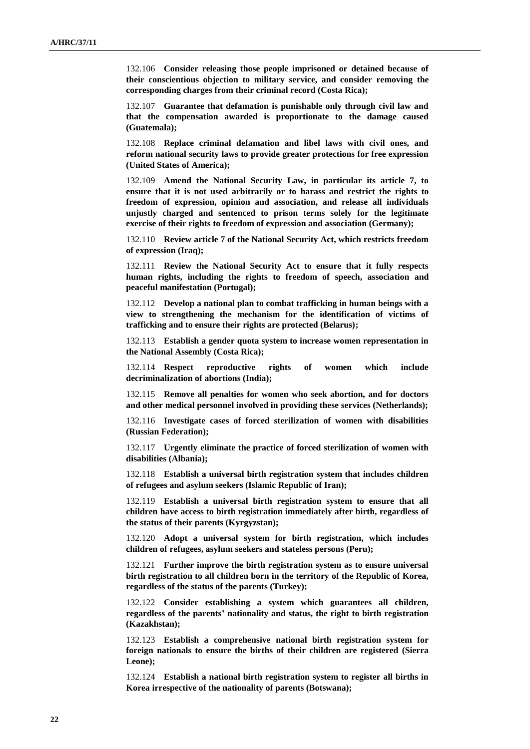132.106 **Consider releasing those people imprisoned or detained because of their conscientious objection to military service, and consider removing the corresponding charges from their criminal record (Costa Rica);**

132.107 **Guarantee that defamation is punishable only through civil law and that the compensation awarded is proportionate to the damage caused (Guatemala);**

132.108 **Replace criminal defamation and libel laws with civil ones, and reform national security laws to provide greater protections for free expression (United States of America);**

132.109 **Amend the National Security Law, in particular its article 7, to ensure that it is not used arbitrarily or to harass and restrict the rights to freedom of expression, opinion and association, and release all individuals unjustly charged and sentenced to prison terms solely for the legitimate exercise of their rights to freedom of expression and association (Germany);**

132.110 **Review article 7 of the National Security Act, which restricts freedom of expression (Iraq);**

132.111 **Review the National Security Act to ensure that it fully respects human rights, including the rights to freedom of speech, association and peaceful manifestation (Portugal);**

132.112 **Develop a national plan to combat trafficking in human beings with a view to strengthening the mechanism for the identification of victims of trafficking and to ensure their rights are protected (Belarus);**

132.113 **Establish a gender quota system to increase women representation in the National Assembly (Costa Rica);**

132.114 **Respect reproductive rights of women which include decriminalization of abortions (India);**

132.115 **Remove all penalties for women who seek abortion, and for doctors and other medical personnel involved in providing these services (Netherlands);**

132.116 **Investigate cases of forced sterilization of women with disabilities (Russian Federation);**

132.117 **Urgently eliminate the practice of forced sterilization of women with disabilities (Albania);**

132.118 **Establish a universal birth registration system that includes children of refugees and asylum seekers (Islamic Republic of Iran);**

132.119 **Establish a universal birth registration system to ensure that all children have access to birth registration immediately after birth, regardless of the status of their parents (Kyrgyzstan);**

132.120 **Adopt a universal system for birth registration, which includes children of refugees, asylum seekers and stateless persons (Peru);**

132.121 **Further improve the birth registration system as to ensure universal birth registration to all children born in the territory of the Republic of Korea, regardless of the status of the parents (Turkey);**

132.122 **Consider establishing a system which guarantees all children, regardless of the parents' nationality and status, the right to birth registration (Kazakhstan);**

132.123 **Establish a comprehensive national birth registration system for foreign nationals to ensure the births of their children are registered (Sierra Leone);**

132.124 **Establish a national birth registration system to register all births in Korea irrespective of the nationality of parents (Botswana);**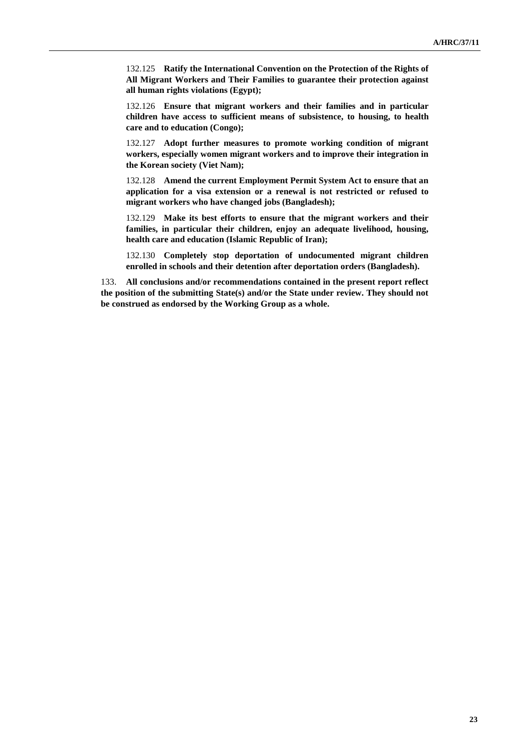132.125 **Ratify the International Convention on the Protection of the Rights of All Migrant Workers and Their Families to guarantee their protection against all human rights violations (Egypt);**

132.126 **Ensure that migrant workers and their families and in particular children have access to sufficient means of subsistence, to housing, to health care and to education (Congo);**

132.127 **Adopt further measures to promote working condition of migrant workers, especially women migrant workers and to improve their integration in the Korean society (Viet Nam);**

132.128 **Amend the current Employment Permit System Act to ensure that an application for a visa extension or a renewal is not restricted or refused to migrant workers who have changed jobs (Bangladesh);**

132.129 **Make its best efforts to ensure that the migrant workers and their families, in particular their children, enjoy an adequate livelihood, housing, health care and education (Islamic Republic of Iran);**

132.130 **Completely stop deportation of undocumented migrant children enrolled in schools and their detention after deportation orders (Bangladesh).**

133. **All conclusions and/or recommendations contained in the present report reflect the position of the submitting State(s) and/or the State under review. They should not be construed as endorsed by the Working Group as a whole.**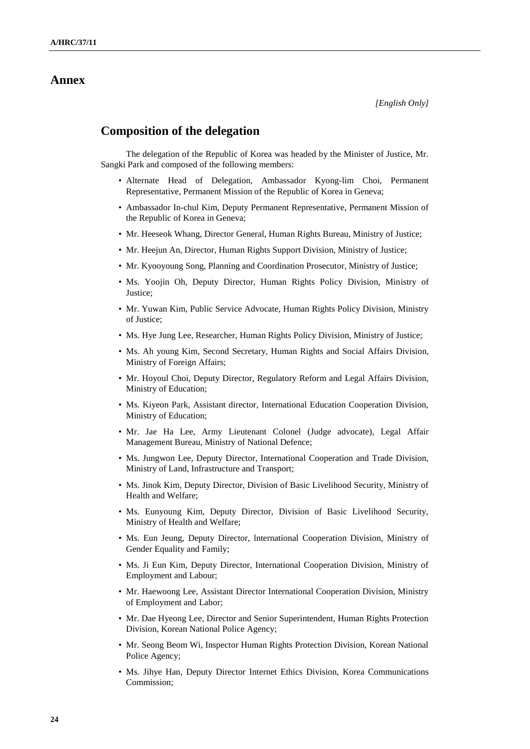#### **Annex**

*[English Only]*

### **Composition of the delegation**

The delegation of the Republic of Korea was headed by the Minister of Justice, Mr. Sangki Park and composed of the following members:

- Alternate Head of Delegation, Ambassador Kyong-lim Choi, Permanent Representative, Permanent Mission of the Republic of Korea in Geneva;
- Ambassador In-chul Kim, Deputy Permanent Representative, Permanent Mission of the Republic of Korea in Geneva;
- Mr. Heeseok Whang, Director General, Human Rights Bureau, Ministry of Justice;
- Mr. Heejun An, Director, Human Rights Support Division, Ministry of Justice;
- Mr. Kyooyoung Song, Planning and Coordination Prosecutor, Ministry of Justice;
- Ms. Yoojin Oh, Deputy Director, Human Rights Policy Division, Ministry of Justice;
- Mr. Yuwan Kim, Public Service Advocate, Human Rights Policy Division, Ministry of Justice;
- Ms. Hye Jung Lee, Researcher, Human Rights Policy Division, Ministry of Justice;
- Ms. Ah young Kim, Second Secretary, Human Rights and Social Affairs Division, Ministry of Foreign Affairs;
- Mr. Hoyoul Choi, Deputy Director, Regulatory Reform and Legal Affairs Division, Ministry of Education;
- Ms. Kiyeon Park, Assistant director, International Education Cooperation Division, Ministry of Education;
- Mr. Jae Ha Lee, Army Lieutenant Colonel (Judge advocate), Legal Affair Management Bureau, Ministry of National Defence;
- Ms. Jungwon Lee, Deputy Director, International Cooperation and Trade Division, Ministry of Land, Infrastructure and Transport;
- Ms. Jinok Kim, Deputy Director, Division of Basic Livelihood Security, Ministry of Health and Welfare;
- Ms. Eunyoung Kim, Deputy Director, Division of Basic Livelihood Security, Ministry of Health and Welfare;
- Ms. Eun Jeung, Deputy Director, lnternational Cooperation Division, Ministry of Gender Equality and Family;
- Ms. Ji Eun Kim, Deputy Director, International Cooperation Division, Ministry of Employment and Labour;
- Mr. Haewoong Lee, Assistant Director International Cooperation Division, Ministry of Employment and Labor;
- Mr. Dae Hyeong Lee, Director and Senior Superintendent, Human Rights Protection Division, Korean National Police Agency;
- Mr. Seong Beom Wi, Inspector Human Rights Protection Division, Korean National Police Agency;
- Ms. Jihye Han, Deputy Director Internet Ethics Division, Korea Communications Commission;